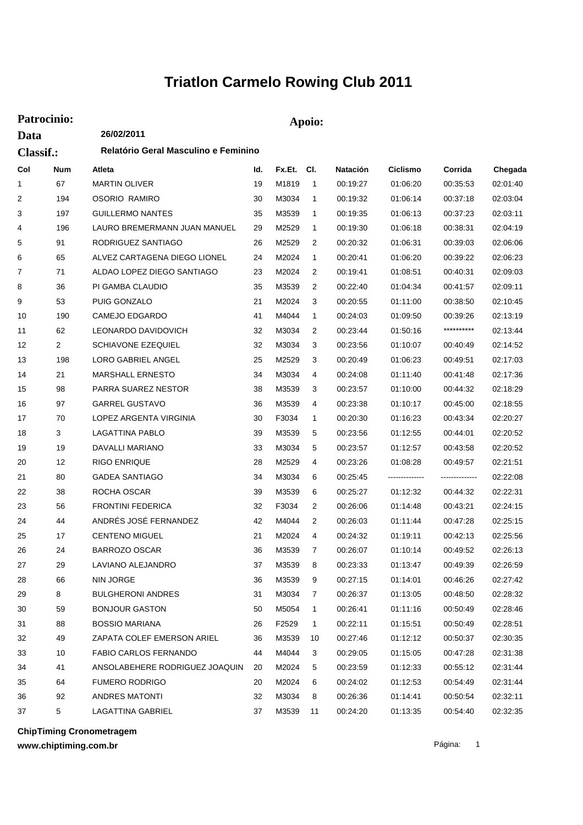## **Triatlon Carmelo Rowing Club 2011**

| Patrocinio:      |                | Apoio:                               |     |            |                |                 |                |                |          |  |
|------------------|----------------|--------------------------------------|-----|------------|----------------|-----------------|----------------|----------------|----------|--|
| Data             |                | 26/02/2011                           |     |            |                |                 |                |                |          |  |
| <b>Classif.:</b> |                | Relatório Geral Masculino e Feminino |     |            |                |                 |                |                |          |  |
| Col              | Num            | Atleta                               | ld. | Fx.Et. Cl. |                | <b>Natación</b> | Ciclismo       | Corrida        | Chegada  |  |
| 1                | 67             | <b>MARTIN OLIVER</b>                 | 19  | M1819      | 1              | 00:19:27        | 01:06:20       | 00:35:53       | 02:01:40 |  |
| 2                | 194            | OSORIO RAMIRO                        | 30  | M3034      | 1              | 00:19:32        | 01:06:14       | 00:37:18       | 02:03:04 |  |
| 3                | 197            | <b>GUILLERMO NANTES</b>              | 35  | M3539      | 1              | 00:19:35        | 01:06:13       | 00:37:23       | 02:03:11 |  |
| 4                | 196            | LAURO BREMERMANN JUAN MANUEL         | 29  | M2529      | 1              | 00:19:30        | 01:06:18       | 00:38:31       | 02:04:19 |  |
| 5                | 91             | RODRIGUEZ SANTIAGO                   | 26  | M2529      | 2              | 00:20:32        | 01:06:31       | 00:39:03       | 02:06:06 |  |
| 6                | 65             | ALVEZ CARTAGENA DIEGO LIONEL         | 24  | M2024      | 1              | 00:20:41        | 01:06:20       | 00:39:22       | 02:06:23 |  |
| 7                | 71             | ALDAO LOPEZ DIEGO SANTIAGO           | 23  | M2024      | 2              | 00:19:41        | 01:08:51       | 00:40:31       | 02:09:03 |  |
| 8                | 36             | PI GAMBA CLAUDIO                     | 35  | M3539      | 2              | 00:22:40        | 01:04:34       | 00:41:57       | 02:09:11 |  |
| 9                | 53             | PUIG GONZALO                         | 21  | M2024      | 3              | 00:20:55        | 01:11:00       | 00:38:50       | 02:10:45 |  |
| 10               | 190            | <b>CAMEJO EDGARDO</b>                | 41  | M4044      | 1              | 00:24:03        | 01:09:50       | 00:39:26       | 02:13:19 |  |
| 11               | 62             | LEONARDO DAVIDOVICH                  | 32  | M3034      | 2              | 00:23:44        | 01:50:16       | **********     | 02:13:44 |  |
| 12               | $\overline{2}$ | <b>SCHIAVONE EZEQUIEL</b>            | 32  | M3034      | 3              | 00:23:56        | 01:10:07       | 00:40:49       | 02:14:52 |  |
| 13               | 198            | LORO GABRIEL ANGEL                   | 25  | M2529      | 3              | 00:20:49        | 01:06:23       | 00:49:51       | 02:17:03 |  |
| 14               | 21             | <b>MARSHALL ERNESTO</b>              | 34  | M3034      | 4              | 00:24:08        | 01:11:40       | 00:41:48       | 02:17:36 |  |
| 15               | 98             | PARRA SUAREZ NESTOR                  | 38  | M3539      | 3              | 00:23:57        | 01:10:00       | 00:44:32       | 02:18:29 |  |
| 16               | 97             | <b>GARREL GUSTAVO</b>                | 36  | M3539      | 4              | 00:23:38        | 01:10:17       | 00:45:00       | 02:18:55 |  |
| 17               | 70             | LOPEZ ARGENTA VIRGINIA               | 30  | F3034      | 1              | 00:20:30        | 01:16:23       | 00:43:34       | 02:20:27 |  |
| 18               | 3              | LAGATTINA PABLO                      | 39  | M3539      | 5              | 00:23:56        | 01:12:55       | 00:44:01       | 02:20:52 |  |
| 19               | 19             | DAVALLI MARIANO                      | 33  | M3034      | 5              | 00:23:57        | 01:12:57       | 00:43:58       | 02:20:52 |  |
| 20               | 12             | <b>RIGO ENRIQUE</b>                  | 28  | M2529      | 4              | 00:23:26        | 01:08:28       | 00:49:57       | 02:21:51 |  |
| 21               | 80             | <b>GADEA SANTIAGO</b>                | 34  | M3034      | 6              | 00:25:45        | -------------- | -------------- | 02:22:08 |  |
| 22               | 38             | ROCHA OSCAR                          | 39  | M3539      | 6              | 00:25:27        | 01:12:32       | 00:44:32       | 02:22:31 |  |
| 23               | 56             | <b>FRONTINI FEDERICA</b>             | 32  | F3034      | 2              | 00:26:06        | 01:14:48       | 00:43:21       | 02:24:15 |  |
| 24               | 44             | ANDRÉS JOSÉ FERNANDEZ                | 42  | M4044      | $\overline{c}$ | 00:26:03        | 01:11:44       | 00:47:28       | 02:25:15 |  |
| 25               | 17             | <b>CENTENO MIGUEL</b>                | 21  | M2024      | 4              | 00:24:32        | 01:19:11       | 00:42:13       | 02:25:56 |  |
| 26               | 24             | <b>BARROZO OSCAR</b>                 | 36  | M3539      | 7              | 00:26:07        | 01:10:14       | 00:49:52       | 02:26:13 |  |
| 27               | 29             | LAVIANO ALEJANDRO                    | 37  | M3539      | 8              | 00:23:33        | 01:13:47       | 00:49:39       | 02:26:59 |  |
| 28               | 66             | NIN JORGE                            | 36  | M3539      | 9              | 00:27:15        | 01:14:01       | 00:46:26       | 02:27:42 |  |
| 29               | 8              | <b>BULGHERONI ANDRES</b>             | 31  | M3034      | 7              | 00:26:37        | 01:13:05       | 00:48:50       | 02:28:32 |  |
| 30               | 59             | <b>BONJOUR GASTON</b>                | 50  | M5054      | 1              | 00:26:41        | 01:11:16       | 00:50:49       | 02:28:46 |  |
| 31               | 88             | <b>BOSSIO MARIANA</b>                | 26  | F2529      | $\mathbf{1}$   | 00:22:11        | 01:15:51       | 00:50:49       | 02:28:51 |  |
| 32               | 49             | ZAPATA COLEF EMERSON ARIEL           | 36  | M3539      | 10             | 00:27:46        | 01:12:12       | 00:50:37       | 02:30:35 |  |
| 33               | 10             | FABIO CARLOS FERNANDO                | 44  | M4044      | 3              | 00:29:05        | 01:15:05       | 00:47:28       | 02:31:38 |  |
| 34               | 41             | ANSOLABEHERE RODRIGUEZ JOAQUIN       | 20  | M2024      | 5              | 00:23:59        | 01:12:33       | 00:55:12       | 02:31:44 |  |
| 35               | 64             | <b>FUMERO RODRIGO</b>                | 20  | M2024      | 6              | 00:24:02        | 01:12:53       | 00:54:49       | 02:31:44 |  |
| 36               | 92             | ANDRES MATONTI                       | 32  | M3034      | 8              | 00:26:36        | 01:14:41       | 00:50:54       | 02:32:11 |  |
| 37               | 5              | LAGATTINA GABRIEL                    | 37  | M3539      | 11             | 00:24:20        | 01:13:35       | 00:54:40       | 02:32:35 |  |

**ChipTiming Cronometragem**

**www.chiptiming.com.br**

Página: 1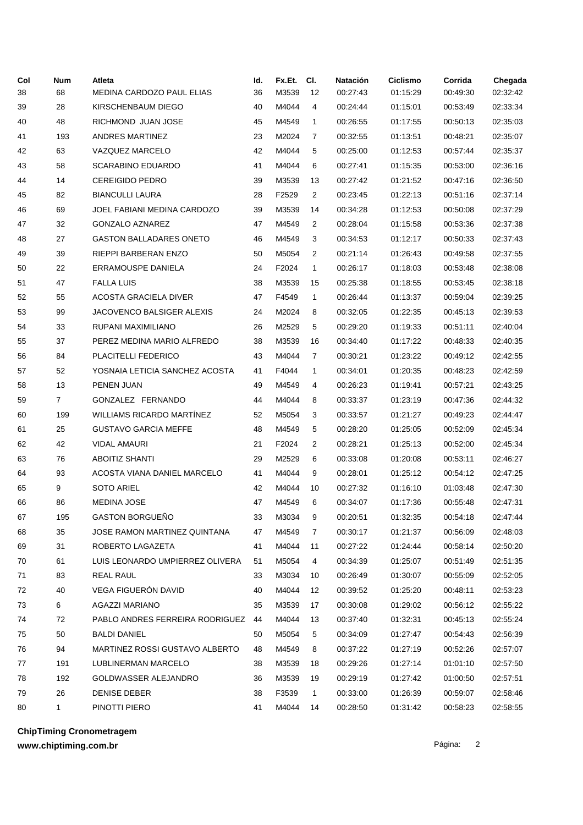| M3539<br>02:32:42<br>38<br>68<br>36<br>12<br>00:27:43<br>01:15:29<br>00:49:30<br>MEDINA CARDOZO PAUL ELIAS<br>M4044<br>28<br>KIRSCHENBAUM DIEGO<br>40<br>4<br>00:24:44<br>02:33:34<br>39<br>01:15:01<br>00:53:49<br>48<br>RICHMOND JUAN JOSE<br>45<br>M4549<br>02:35:03<br>40<br>1<br>00:26:55<br>01:17:55<br>00:50:13<br>193<br>ANDRES MARTINEZ<br>23<br>M2024<br>7<br>00:32:55<br>01:13:51<br>02:35:07<br>41<br>00:48:21<br>63<br><b>VAZQUEZ MARCELO</b><br>42<br>M4044<br>5<br>02:35:37<br>42<br>00:25:00<br>01:12:53<br>00:57:44<br>58<br><b>SCARABINO EDUARDO</b><br>41<br>M4044<br>6<br>01:15:35<br>02:36:16<br>43<br>00:27:41<br>00:53:00<br>14<br><b>CEREIGIDO PEDRO</b><br>39<br>M3539<br>01:21:52<br>02:36:50<br>44<br>13<br>00:27:42<br>00:47:16<br>45<br>82<br><b>BIANCULLI LAURA</b><br>28<br>F2529<br>2<br>00:23:45<br>01:22:13<br>02:37:14<br>00:51:16<br>69<br>JOEL FABIANI MEDINA CARDOZO<br>39<br>M3539<br>01:12:53<br>02:37:29<br>46<br>14<br>00:34:28<br>00:50:08<br>M4549<br>32<br>GONZALO AZNAREZ<br>47<br>2<br>00:28:04<br>02:37:38<br>47<br>01:15:58<br>00:53:36<br>27<br><b>GASTON BALLADARES ONETO</b><br>46<br>M4549<br>3<br>00:34:53<br>01:12:17<br>02:37:43<br>48<br>00:50:33<br>39<br>RIEPPI BARBERAN ENZO<br>50<br>M5054<br>2<br>00:21:14<br>01:26:43<br>02:37:55<br>49<br>00:49:58<br>22<br>ERRAMOUSPE DANIELA<br>24<br>F2024<br>$\mathbf{1}$<br>00:26:17<br>01:18:03<br>02:38:08<br>50<br>00:53:48<br>47<br>51<br><b>FALLA LUIS</b><br>38<br>M3539<br>15<br>00:25:38<br>01:18:55<br>00:53:45<br>02:38:18<br>52<br>55<br>ACOSTA GRACIELA DIVER<br>47<br>F4549<br>$\mathbf{1}$<br>00:26:44<br>02:39:25<br>01:13:37<br>00:59:04<br>53<br>99<br>JACOVENCO BALSIGER ALEXIS<br>24<br>M2024<br>8<br>00:32:05<br>01:22:35<br>02:39:53<br>00:45:13<br>54<br>33<br>RUPANI MAXIMILIANO<br>26<br>M2529<br>5<br>02:40:04<br>00:29:20<br>01:19:33<br>00:51:11<br>55<br>37<br>PEREZ MEDINA MARIO ALFREDO<br>38<br>M3539<br>16<br>00:34:40<br>01:17:22<br>02:40:35<br>00:48:33<br>56<br>84<br>PLACITELLI FEDERICO<br>43<br>M4044<br>7<br>00:30:21<br>01:23:22<br>02:42:55<br>00:49:12<br>52<br>YOSNAIA LETICIA SANCHEZ ACOSTA<br>41<br>F4044<br>1<br>00:34:01<br>01:20:35<br>02:42:59<br>57<br>00:48:23<br>13<br>58<br>PENEN JUAN<br>49<br>M4549<br>00:26:23<br>01:19:41<br>02:43:25<br>4<br>00:57:21<br>GONZALEZ FERNANDO<br>59<br>7<br>44<br>M4044<br>8<br>00:33:37<br>01:23:19<br>02:44:32<br>00:47:36<br><b>WILLIAMS RICARDO MARTÍNEZ</b><br>60<br>199<br>52<br>M5054<br>3<br>00:33:57<br>01:21:27<br>00:49:23<br>02:44:47<br>25<br><b>GUSTAVO GARCIA MEFFE</b><br>48<br>M4549<br>5<br>00:28:20<br>01:25:05<br>00:52:09<br>02:45:34<br>61<br>62<br>42<br><b>VIDAL AMAURI</b><br>21<br>F2024<br>2<br>00:28:21<br>01:25:13<br>02:45:34<br>00:52:00<br>63<br>76<br><b>ABOITIZ SHANTI</b><br>29<br>M2529<br>6<br>00:33:08<br>01:20:08<br>00:53:11<br>02:46:27<br>93<br>ACOSTA VIANA DANIEL MARCELO<br>41<br>M4044<br>9<br>00:28:01<br>01:25:12<br>00:54:12<br>02:47:25<br>64<br>65<br>9<br><b>SOTO ARIEL</b><br>42<br>M4044<br>10<br>00:27:32<br>01:16:10<br>01:03:48<br>02:47:30<br><b>MEDINA JOSE</b><br>47<br>M4549<br>6<br>00:34:07<br>02:47:31<br>66<br>86<br>01:17:36<br>00:55:48<br>GASTON BORGUEÑO<br>67<br>195<br>33<br>M3034<br>9<br>00:20:51<br>01:32:35<br>00:54:18<br>02:47:44 |
|--------------------------------------------------------------------------------------------------------------------------------------------------------------------------------------------------------------------------------------------------------------------------------------------------------------------------------------------------------------------------------------------------------------------------------------------------------------------------------------------------------------------------------------------------------------------------------------------------------------------------------------------------------------------------------------------------------------------------------------------------------------------------------------------------------------------------------------------------------------------------------------------------------------------------------------------------------------------------------------------------------------------------------------------------------------------------------------------------------------------------------------------------------------------------------------------------------------------------------------------------------------------------------------------------------------------------------------------------------------------------------------------------------------------------------------------------------------------------------------------------------------------------------------------------------------------------------------------------------------------------------------------------------------------------------------------------------------------------------------------------------------------------------------------------------------------------------------------------------------------------------------------------------------------------------------------------------------------------------------------------------------------------------------------------------------------------------------------------------------------------------------------------------------------------------------------------------------------------------------------------------------------------------------------------------------------------------------------------------------------------------------------------------------------------------------------------------------------------------------------------------------------------------------------------------------------------------------------------------------------------------------------------------------------------------------------------------------------------------------------------------------------------------------------------------------------------------------------------------------------------------------------------------------------------------------------------------------------------------------------------------------------------------------------------------------------------------------------------------------------------------------------------------------------------------------------------------------------------------------------------------------------------------------------------------------|
|                                                                                                                                                                                                                                                                                                                                                                                                                                                                                                                                                                                                                                                                                                                                                                                                                                                                                                                                                                                                                                                                                                                                                                                                                                                                                                                                                                                                                                                                                                                                                                                                                                                                                                                                                                                                                                                                                                                                                                                                                                                                                                                                                                                                                                                                                                                                                                                                                                                                                                                                                                                                                                                                                                                                                                                                                                                                                                                                                                                                                                                                                                                                                                                                                                                                                                              |
|                                                                                                                                                                                                                                                                                                                                                                                                                                                                                                                                                                                                                                                                                                                                                                                                                                                                                                                                                                                                                                                                                                                                                                                                                                                                                                                                                                                                                                                                                                                                                                                                                                                                                                                                                                                                                                                                                                                                                                                                                                                                                                                                                                                                                                                                                                                                                                                                                                                                                                                                                                                                                                                                                                                                                                                                                                                                                                                                                                                                                                                                                                                                                                                                                                                                                                              |
|                                                                                                                                                                                                                                                                                                                                                                                                                                                                                                                                                                                                                                                                                                                                                                                                                                                                                                                                                                                                                                                                                                                                                                                                                                                                                                                                                                                                                                                                                                                                                                                                                                                                                                                                                                                                                                                                                                                                                                                                                                                                                                                                                                                                                                                                                                                                                                                                                                                                                                                                                                                                                                                                                                                                                                                                                                                                                                                                                                                                                                                                                                                                                                                                                                                                                                              |
|                                                                                                                                                                                                                                                                                                                                                                                                                                                                                                                                                                                                                                                                                                                                                                                                                                                                                                                                                                                                                                                                                                                                                                                                                                                                                                                                                                                                                                                                                                                                                                                                                                                                                                                                                                                                                                                                                                                                                                                                                                                                                                                                                                                                                                                                                                                                                                                                                                                                                                                                                                                                                                                                                                                                                                                                                                                                                                                                                                                                                                                                                                                                                                                                                                                                                                              |
|                                                                                                                                                                                                                                                                                                                                                                                                                                                                                                                                                                                                                                                                                                                                                                                                                                                                                                                                                                                                                                                                                                                                                                                                                                                                                                                                                                                                                                                                                                                                                                                                                                                                                                                                                                                                                                                                                                                                                                                                                                                                                                                                                                                                                                                                                                                                                                                                                                                                                                                                                                                                                                                                                                                                                                                                                                                                                                                                                                                                                                                                                                                                                                                                                                                                                                              |
|                                                                                                                                                                                                                                                                                                                                                                                                                                                                                                                                                                                                                                                                                                                                                                                                                                                                                                                                                                                                                                                                                                                                                                                                                                                                                                                                                                                                                                                                                                                                                                                                                                                                                                                                                                                                                                                                                                                                                                                                                                                                                                                                                                                                                                                                                                                                                                                                                                                                                                                                                                                                                                                                                                                                                                                                                                                                                                                                                                                                                                                                                                                                                                                                                                                                                                              |
|                                                                                                                                                                                                                                                                                                                                                                                                                                                                                                                                                                                                                                                                                                                                                                                                                                                                                                                                                                                                                                                                                                                                                                                                                                                                                                                                                                                                                                                                                                                                                                                                                                                                                                                                                                                                                                                                                                                                                                                                                                                                                                                                                                                                                                                                                                                                                                                                                                                                                                                                                                                                                                                                                                                                                                                                                                                                                                                                                                                                                                                                                                                                                                                                                                                                                                              |
|                                                                                                                                                                                                                                                                                                                                                                                                                                                                                                                                                                                                                                                                                                                                                                                                                                                                                                                                                                                                                                                                                                                                                                                                                                                                                                                                                                                                                                                                                                                                                                                                                                                                                                                                                                                                                                                                                                                                                                                                                                                                                                                                                                                                                                                                                                                                                                                                                                                                                                                                                                                                                                                                                                                                                                                                                                                                                                                                                                                                                                                                                                                                                                                                                                                                                                              |
|                                                                                                                                                                                                                                                                                                                                                                                                                                                                                                                                                                                                                                                                                                                                                                                                                                                                                                                                                                                                                                                                                                                                                                                                                                                                                                                                                                                                                                                                                                                                                                                                                                                                                                                                                                                                                                                                                                                                                                                                                                                                                                                                                                                                                                                                                                                                                                                                                                                                                                                                                                                                                                                                                                                                                                                                                                                                                                                                                                                                                                                                                                                                                                                                                                                                                                              |
|                                                                                                                                                                                                                                                                                                                                                                                                                                                                                                                                                                                                                                                                                                                                                                                                                                                                                                                                                                                                                                                                                                                                                                                                                                                                                                                                                                                                                                                                                                                                                                                                                                                                                                                                                                                                                                                                                                                                                                                                                                                                                                                                                                                                                                                                                                                                                                                                                                                                                                                                                                                                                                                                                                                                                                                                                                                                                                                                                                                                                                                                                                                                                                                                                                                                                                              |
|                                                                                                                                                                                                                                                                                                                                                                                                                                                                                                                                                                                                                                                                                                                                                                                                                                                                                                                                                                                                                                                                                                                                                                                                                                                                                                                                                                                                                                                                                                                                                                                                                                                                                                                                                                                                                                                                                                                                                                                                                                                                                                                                                                                                                                                                                                                                                                                                                                                                                                                                                                                                                                                                                                                                                                                                                                                                                                                                                                                                                                                                                                                                                                                                                                                                                                              |
|                                                                                                                                                                                                                                                                                                                                                                                                                                                                                                                                                                                                                                                                                                                                                                                                                                                                                                                                                                                                                                                                                                                                                                                                                                                                                                                                                                                                                                                                                                                                                                                                                                                                                                                                                                                                                                                                                                                                                                                                                                                                                                                                                                                                                                                                                                                                                                                                                                                                                                                                                                                                                                                                                                                                                                                                                                                                                                                                                                                                                                                                                                                                                                                                                                                                                                              |
|                                                                                                                                                                                                                                                                                                                                                                                                                                                                                                                                                                                                                                                                                                                                                                                                                                                                                                                                                                                                                                                                                                                                                                                                                                                                                                                                                                                                                                                                                                                                                                                                                                                                                                                                                                                                                                                                                                                                                                                                                                                                                                                                                                                                                                                                                                                                                                                                                                                                                                                                                                                                                                                                                                                                                                                                                                                                                                                                                                                                                                                                                                                                                                                                                                                                                                              |
|                                                                                                                                                                                                                                                                                                                                                                                                                                                                                                                                                                                                                                                                                                                                                                                                                                                                                                                                                                                                                                                                                                                                                                                                                                                                                                                                                                                                                                                                                                                                                                                                                                                                                                                                                                                                                                                                                                                                                                                                                                                                                                                                                                                                                                                                                                                                                                                                                                                                                                                                                                                                                                                                                                                                                                                                                                                                                                                                                                                                                                                                                                                                                                                                                                                                                                              |
|                                                                                                                                                                                                                                                                                                                                                                                                                                                                                                                                                                                                                                                                                                                                                                                                                                                                                                                                                                                                                                                                                                                                                                                                                                                                                                                                                                                                                                                                                                                                                                                                                                                                                                                                                                                                                                                                                                                                                                                                                                                                                                                                                                                                                                                                                                                                                                                                                                                                                                                                                                                                                                                                                                                                                                                                                                                                                                                                                                                                                                                                                                                                                                                                                                                                                                              |
|                                                                                                                                                                                                                                                                                                                                                                                                                                                                                                                                                                                                                                                                                                                                                                                                                                                                                                                                                                                                                                                                                                                                                                                                                                                                                                                                                                                                                                                                                                                                                                                                                                                                                                                                                                                                                                                                                                                                                                                                                                                                                                                                                                                                                                                                                                                                                                                                                                                                                                                                                                                                                                                                                                                                                                                                                                                                                                                                                                                                                                                                                                                                                                                                                                                                                                              |
|                                                                                                                                                                                                                                                                                                                                                                                                                                                                                                                                                                                                                                                                                                                                                                                                                                                                                                                                                                                                                                                                                                                                                                                                                                                                                                                                                                                                                                                                                                                                                                                                                                                                                                                                                                                                                                                                                                                                                                                                                                                                                                                                                                                                                                                                                                                                                                                                                                                                                                                                                                                                                                                                                                                                                                                                                                                                                                                                                                                                                                                                                                                                                                                                                                                                                                              |
|                                                                                                                                                                                                                                                                                                                                                                                                                                                                                                                                                                                                                                                                                                                                                                                                                                                                                                                                                                                                                                                                                                                                                                                                                                                                                                                                                                                                                                                                                                                                                                                                                                                                                                                                                                                                                                                                                                                                                                                                                                                                                                                                                                                                                                                                                                                                                                                                                                                                                                                                                                                                                                                                                                                                                                                                                                                                                                                                                                                                                                                                                                                                                                                                                                                                                                              |
|                                                                                                                                                                                                                                                                                                                                                                                                                                                                                                                                                                                                                                                                                                                                                                                                                                                                                                                                                                                                                                                                                                                                                                                                                                                                                                                                                                                                                                                                                                                                                                                                                                                                                                                                                                                                                                                                                                                                                                                                                                                                                                                                                                                                                                                                                                                                                                                                                                                                                                                                                                                                                                                                                                                                                                                                                                                                                                                                                                                                                                                                                                                                                                                                                                                                                                              |
|                                                                                                                                                                                                                                                                                                                                                                                                                                                                                                                                                                                                                                                                                                                                                                                                                                                                                                                                                                                                                                                                                                                                                                                                                                                                                                                                                                                                                                                                                                                                                                                                                                                                                                                                                                                                                                                                                                                                                                                                                                                                                                                                                                                                                                                                                                                                                                                                                                                                                                                                                                                                                                                                                                                                                                                                                                                                                                                                                                                                                                                                                                                                                                                                                                                                                                              |
|                                                                                                                                                                                                                                                                                                                                                                                                                                                                                                                                                                                                                                                                                                                                                                                                                                                                                                                                                                                                                                                                                                                                                                                                                                                                                                                                                                                                                                                                                                                                                                                                                                                                                                                                                                                                                                                                                                                                                                                                                                                                                                                                                                                                                                                                                                                                                                                                                                                                                                                                                                                                                                                                                                                                                                                                                                                                                                                                                                                                                                                                                                                                                                                                                                                                                                              |
|                                                                                                                                                                                                                                                                                                                                                                                                                                                                                                                                                                                                                                                                                                                                                                                                                                                                                                                                                                                                                                                                                                                                                                                                                                                                                                                                                                                                                                                                                                                                                                                                                                                                                                                                                                                                                                                                                                                                                                                                                                                                                                                                                                                                                                                                                                                                                                                                                                                                                                                                                                                                                                                                                                                                                                                                                                                                                                                                                                                                                                                                                                                                                                                                                                                                                                              |
|                                                                                                                                                                                                                                                                                                                                                                                                                                                                                                                                                                                                                                                                                                                                                                                                                                                                                                                                                                                                                                                                                                                                                                                                                                                                                                                                                                                                                                                                                                                                                                                                                                                                                                                                                                                                                                                                                                                                                                                                                                                                                                                                                                                                                                                                                                                                                                                                                                                                                                                                                                                                                                                                                                                                                                                                                                                                                                                                                                                                                                                                                                                                                                                                                                                                                                              |
|                                                                                                                                                                                                                                                                                                                                                                                                                                                                                                                                                                                                                                                                                                                                                                                                                                                                                                                                                                                                                                                                                                                                                                                                                                                                                                                                                                                                                                                                                                                                                                                                                                                                                                                                                                                                                                                                                                                                                                                                                                                                                                                                                                                                                                                                                                                                                                                                                                                                                                                                                                                                                                                                                                                                                                                                                                                                                                                                                                                                                                                                                                                                                                                                                                                                                                              |
|                                                                                                                                                                                                                                                                                                                                                                                                                                                                                                                                                                                                                                                                                                                                                                                                                                                                                                                                                                                                                                                                                                                                                                                                                                                                                                                                                                                                                                                                                                                                                                                                                                                                                                                                                                                                                                                                                                                                                                                                                                                                                                                                                                                                                                                                                                                                                                                                                                                                                                                                                                                                                                                                                                                                                                                                                                                                                                                                                                                                                                                                                                                                                                                                                                                                                                              |
|                                                                                                                                                                                                                                                                                                                                                                                                                                                                                                                                                                                                                                                                                                                                                                                                                                                                                                                                                                                                                                                                                                                                                                                                                                                                                                                                                                                                                                                                                                                                                                                                                                                                                                                                                                                                                                                                                                                                                                                                                                                                                                                                                                                                                                                                                                                                                                                                                                                                                                                                                                                                                                                                                                                                                                                                                                                                                                                                                                                                                                                                                                                                                                                                                                                                                                              |
|                                                                                                                                                                                                                                                                                                                                                                                                                                                                                                                                                                                                                                                                                                                                                                                                                                                                                                                                                                                                                                                                                                                                                                                                                                                                                                                                                                                                                                                                                                                                                                                                                                                                                                                                                                                                                                                                                                                                                                                                                                                                                                                                                                                                                                                                                                                                                                                                                                                                                                                                                                                                                                                                                                                                                                                                                                                                                                                                                                                                                                                                                                                                                                                                                                                                                                              |
|                                                                                                                                                                                                                                                                                                                                                                                                                                                                                                                                                                                                                                                                                                                                                                                                                                                                                                                                                                                                                                                                                                                                                                                                                                                                                                                                                                                                                                                                                                                                                                                                                                                                                                                                                                                                                                                                                                                                                                                                                                                                                                                                                                                                                                                                                                                                                                                                                                                                                                                                                                                                                                                                                                                                                                                                                                                                                                                                                                                                                                                                                                                                                                                                                                                                                                              |
|                                                                                                                                                                                                                                                                                                                                                                                                                                                                                                                                                                                                                                                                                                                                                                                                                                                                                                                                                                                                                                                                                                                                                                                                                                                                                                                                                                                                                                                                                                                                                                                                                                                                                                                                                                                                                                                                                                                                                                                                                                                                                                                                                                                                                                                                                                                                                                                                                                                                                                                                                                                                                                                                                                                                                                                                                                                                                                                                                                                                                                                                                                                                                                                                                                                                                                              |
|                                                                                                                                                                                                                                                                                                                                                                                                                                                                                                                                                                                                                                                                                                                                                                                                                                                                                                                                                                                                                                                                                                                                                                                                                                                                                                                                                                                                                                                                                                                                                                                                                                                                                                                                                                                                                                                                                                                                                                                                                                                                                                                                                                                                                                                                                                                                                                                                                                                                                                                                                                                                                                                                                                                                                                                                                                                                                                                                                                                                                                                                                                                                                                                                                                                                                                              |
| 35<br>JOSE RAMON MARTINEZ QUINTANA<br>M4549<br>00:30:17<br>01:21:37<br>00:56:09<br>02:48:03<br>68<br>47<br>7                                                                                                                                                                                                                                                                                                                                                                                                                                                                                                                                                                                                                                                                                                                                                                                                                                                                                                                                                                                                                                                                                                                                                                                                                                                                                                                                                                                                                                                                                                                                                                                                                                                                                                                                                                                                                                                                                                                                                                                                                                                                                                                                                                                                                                                                                                                                                                                                                                                                                                                                                                                                                                                                                                                                                                                                                                                                                                                                                                                                                                                                                                                                                                                                 |
| M4044<br>02:50:20<br>69<br>31<br>ROBERTO LAGAZETA<br>41<br>11<br>00:27:22<br>01:24:44<br>00:58:14                                                                                                                                                                                                                                                                                                                                                                                                                                                                                                                                                                                                                                                                                                                                                                                                                                                                                                                                                                                                                                                                                                                                                                                                                                                                                                                                                                                                                                                                                                                                                                                                                                                                                                                                                                                                                                                                                                                                                                                                                                                                                                                                                                                                                                                                                                                                                                                                                                                                                                                                                                                                                                                                                                                                                                                                                                                                                                                                                                                                                                                                                                                                                                                                            |
| LUIS LEONARDO UMPIERREZ OLIVERA<br>70<br>61<br>51<br>M5054<br>4<br>00:34:39<br>01:25:07<br>00:51:49<br>02:51:35                                                                                                                                                                                                                                                                                                                                                                                                                                                                                                                                                                                                                                                                                                                                                                                                                                                                                                                                                                                                                                                                                                                                                                                                                                                                                                                                                                                                                                                                                                                                                                                                                                                                                                                                                                                                                                                                                                                                                                                                                                                                                                                                                                                                                                                                                                                                                                                                                                                                                                                                                                                                                                                                                                                                                                                                                                                                                                                                                                                                                                                                                                                                                                                              |
| 71<br>83<br>REAL RAUL<br>33<br>M3034<br>10<br>00:26:49<br>01:30:07<br>00:55:09<br>02:52:05                                                                                                                                                                                                                                                                                                                                                                                                                                                                                                                                                                                                                                                                                                                                                                                                                                                                                                                                                                                                                                                                                                                                                                                                                                                                                                                                                                                                                                                                                                                                                                                                                                                                                                                                                                                                                                                                                                                                                                                                                                                                                                                                                                                                                                                                                                                                                                                                                                                                                                                                                                                                                                                                                                                                                                                                                                                                                                                                                                                                                                                                                                                                                                                                                   |
| VEGA FIGUERÓN DAVID<br>40<br>M4044<br>72<br>40<br>12<br>00:39:52<br>01:25:20<br>00:48:11<br>02:53:23                                                                                                                                                                                                                                                                                                                                                                                                                                                                                                                                                                                                                                                                                                                                                                                                                                                                                                                                                                                                                                                                                                                                                                                                                                                                                                                                                                                                                                                                                                                                                                                                                                                                                                                                                                                                                                                                                                                                                                                                                                                                                                                                                                                                                                                                                                                                                                                                                                                                                                                                                                                                                                                                                                                                                                                                                                                                                                                                                                                                                                                                                                                                                                                                         |
| <b>AGAZZI MARIANO</b><br>73<br>6<br>35<br>M3539<br>17<br>00:30:08<br>01:29:02<br>00:56:12<br>02:55:22                                                                                                                                                                                                                                                                                                                                                                                                                                                                                                                                                                                                                                                                                                                                                                                                                                                                                                                                                                                                                                                                                                                                                                                                                                                                                                                                                                                                                                                                                                                                                                                                                                                                                                                                                                                                                                                                                                                                                                                                                                                                                                                                                                                                                                                                                                                                                                                                                                                                                                                                                                                                                                                                                                                                                                                                                                                                                                                                                                                                                                                                                                                                                                                                        |
| PABLO ANDRES FERREIRA RODRIGUEZ<br>M4044<br>74<br>72<br>44<br>13<br>00:37:40<br>01:32:31<br>00:45:13<br>02:55:24                                                                                                                                                                                                                                                                                                                                                                                                                                                                                                                                                                                                                                                                                                                                                                                                                                                                                                                                                                                                                                                                                                                                                                                                                                                                                                                                                                                                                                                                                                                                                                                                                                                                                                                                                                                                                                                                                                                                                                                                                                                                                                                                                                                                                                                                                                                                                                                                                                                                                                                                                                                                                                                                                                                                                                                                                                                                                                                                                                                                                                                                                                                                                                                             |
| 75<br>50<br>BALDI DANIEL<br>50<br>M5054<br>5<br>00:34:09<br>01:27:47<br>00:54:43<br>02:56:39                                                                                                                                                                                                                                                                                                                                                                                                                                                                                                                                                                                                                                                                                                                                                                                                                                                                                                                                                                                                                                                                                                                                                                                                                                                                                                                                                                                                                                                                                                                                                                                                                                                                                                                                                                                                                                                                                                                                                                                                                                                                                                                                                                                                                                                                                                                                                                                                                                                                                                                                                                                                                                                                                                                                                                                                                                                                                                                                                                                                                                                                                                                                                                                                                 |
| MARTINEZ ROSSI GUSTAVO ALBERTO<br>76<br>94<br>48<br>M4549<br>8<br>00:37:22<br>01:27:19<br>00:52:26<br>02:57:07                                                                                                                                                                                                                                                                                                                                                                                                                                                                                                                                                                                                                                                                                                                                                                                                                                                                                                                                                                                                                                                                                                                                                                                                                                                                                                                                                                                                                                                                                                                                                                                                                                                                                                                                                                                                                                                                                                                                                                                                                                                                                                                                                                                                                                                                                                                                                                                                                                                                                                                                                                                                                                                                                                                                                                                                                                                                                                                                                                                                                                                                                                                                                                                               |
| LUBLINERMAN MARCELO<br>02:57:50<br>77<br>191<br>38<br>M3539<br>18<br>00:29:26<br>01:27:14<br>01:01:10                                                                                                                                                                                                                                                                                                                                                                                                                                                                                                                                                                                                                                                                                                                                                                                                                                                                                                                                                                                                                                                                                                                                                                                                                                                                                                                                                                                                                                                                                                                                                                                                                                                                                                                                                                                                                                                                                                                                                                                                                                                                                                                                                                                                                                                                                                                                                                                                                                                                                                                                                                                                                                                                                                                                                                                                                                                                                                                                                                                                                                                                                                                                                                                                        |
| GOLDWASSER ALEJANDRO<br>M3539<br>78<br>192<br>36<br>19<br>00:29:19<br>01:27:42<br>01:00:50<br>02:57:51                                                                                                                                                                                                                                                                                                                                                                                                                                                                                                                                                                                                                                                                                                                                                                                                                                                                                                                                                                                                                                                                                                                                                                                                                                                                                                                                                                                                                                                                                                                                                                                                                                                                                                                                                                                                                                                                                                                                                                                                                                                                                                                                                                                                                                                                                                                                                                                                                                                                                                                                                                                                                                                                                                                                                                                                                                                                                                                                                                                                                                                                                                                                                                                                       |
| 26<br>F3539<br>79<br>DENISE DEBER<br>38<br>1<br>00:33:00<br>01:26:39<br>00:59:07<br>02:58:46                                                                                                                                                                                                                                                                                                                                                                                                                                                                                                                                                                                                                                                                                                                                                                                                                                                                                                                                                                                                                                                                                                                                                                                                                                                                                                                                                                                                                                                                                                                                                                                                                                                                                                                                                                                                                                                                                                                                                                                                                                                                                                                                                                                                                                                                                                                                                                                                                                                                                                                                                                                                                                                                                                                                                                                                                                                                                                                                                                                                                                                                                                                                                                                                                 |
| PINOTTI PIERO<br>$\mathbf 1$<br>M4044<br>00:28:50<br>02:58:55<br>80<br>41<br>14<br>01:31:42<br>00:58:23                                                                                                                                                                                                                                                                                                                                                                                                                                                                                                                                                                                                                                                                                                                                                                                                                                                                                                                                                                                                                                                                                                                                                                                                                                                                                                                                                                                                                                                                                                                                                                                                                                                                                                                                                                                                                                                                                                                                                                                                                                                                                                                                                                                                                                                                                                                                                                                                                                                                                                                                                                                                                                                                                                                                                                                                                                                                                                                                                                                                                                                                                                                                                                                                      |

**ChipTiming Cronometragem**

**www.chiptiming.com.br**

Página: 2